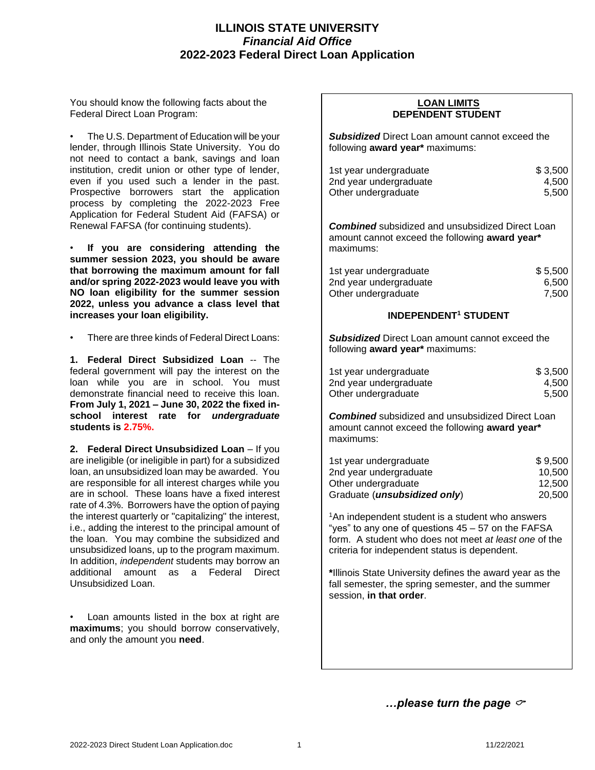# **ILLINOIS STATE UNIVERSITY** *Financial Aid Office* **2022-2023 Federal Direct Loan Application**

You should know the following facts about the Federal Direct Loan Program:

• The U.S. Department of Education will be your lender, through Illinois State University. You do not need to contact a bank, savings and loan institution, credit union or other type of lender, even if you used such a lender in the past. Prospective borrowers start the application process by completing the 2022-2023 Free Application for Federal Student Aid (FAFSA) or Renewal FAFSA (for continuing students).

• **If you are considering attending the summer session 2023, you should be aware that borrowing the maximum amount for fall and/or spring 2022-2023 would leave you with NO loan eligibility for the summer session 2022, unless you advance a class level that increases your loan eligibility.**

There are three kinds of Federal Direct Loans:

**1. Federal Direct Subsidized Loan** -- The federal government will pay the interest on the loan while you are in school. You must demonstrate financial need to receive this loan. **From July 1, 2021 – June 30, 2022 the fixed inschool interest rate for** *undergraduate* **students is 2.75%.**

**2. Federal Direct Unsubsidized Loan** – If you are ineligible (or ineligible in part) for a subsidized loan, an unsubsidized loan may be awarded. You are responsible for all interest charges while you are in school. These loans have a fixed interest rate of 4.3%. Borrowers have the option of paying the interest quarterly or "capitalizing" the interest, i.e., adding the interest to the principal amount of the loan. You may combine the subsidized and unsubsidized loans, up to the program maximum. In addition, *independent* students may borrow an additional amount as a Federal Direct Unsubsidized Loan.

Loan amounts listed in the box at right are **maximums**; you should borrow conservatively, and only the amount you **need**.

## **LOAN LIMITS DEPENDENT STUDENT**

*Subsidized* Direct Loan amount cannot exceed the following **award year\*** maximums:

| 1st year undergraduate | \$3,500 |
|------------------------|---------|
| 2nd year undergraduate | 4.500   |
| Other undergraduate    | 5.500   |

*Combined* subsidized and unsubsidized Direct Loan amount cannot exceed the following **award year\*** maximums:

| 1st year undergraduate | \$5,500 |
|------------------------|---------|
| 2nd year undergraduate | 6,500   |
| Other undergraduate    | 7,500   |

## **INDEPENDENT<sup>1</sup> STUDENT**

*Subsidized* Direct Loan amount cannot exceed the following **award year\*** maximums:

| 1st year undergraduate | \$3,500 |
|------------------------|---------|
| 2nd year undergraduate | 4.500   |
| Other undergraduate    | 5.500   |

*Combined* subsidized and unsubsidized Direct Loan amount cannot exceed the following **award year\*** maximums:

| 1st year undergraduate                | \$9.500 |  |  |
|---------------------------------------|---------|--|--|
| 2nd year undergraduate                | 10.500  |  |  |
| Other undergraduate                   | 12.500  |  |  |
| Graduate ( <i>unsubsidized only</i> ) | 20,500  |  |  |

<sup>1</sup>An independent student is a student who answers "yes" to any one of questions 45 – 57 on the FAFSA form. A student who does not meet *at least one* of the criteria for independent status is dependent.

**\***Illinois State University defines the award year as the fall semester, the spring semester, and the summer session, **in that order**.

*…please turn the page*